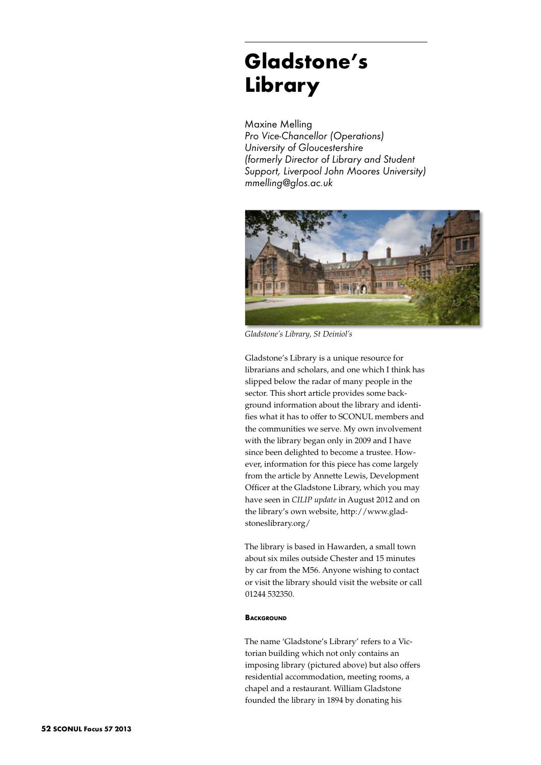## **Gladstone's Library**

Maxine Melling *Pro Vice-Chancellor (Operations) University of Gloucestershire (formerly Director of Library and Student Support, Liverpool John Moores University) mmelling@glos.ac.uk*



*Gladstone's Library, St Deiniol's*

Gladstone's Library is a unique resource for librarians and scholars, and one which I think has slipped below the radar of many people in the sector. This short article provides some background information about the library and identifies what it has to offer to SCONUL members and the communities we serve. My own involvement with the library began only in 2009 and I have since been delighted to become a trustee. However, information for this piece has come largely from the article by Annette Lewis, Development Officer at the Gladstone Library, which you may have seen in *CILIP update* in August 2012 and on the library's own website, http://www.gladstoneslibrary.org/

The library is based in Hawarden, a small town about six miles outside Chester and 15 minutes by car from the M56. Anyone wishing to contact or visit the library should visit the website or call 01244 532350.

## **BACKGROUND**

The name 'Gladstone's Library' refers to a Victorian building which not only contains an imposing library (pictured above) but also offers residential accommodation, meeting rooms, a chapel and a restaurant. William Gladstone founded the library in 1894 by donating his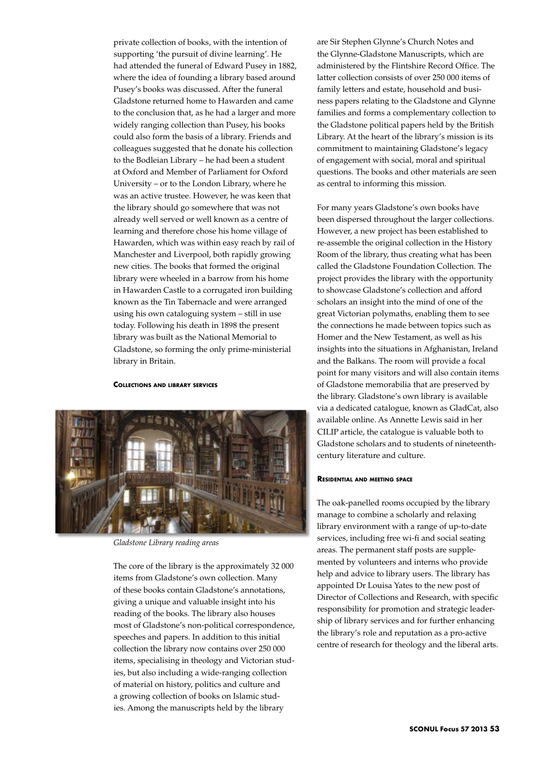private collection of books, with the intention of supporting 'the pursuit of divine learning'. He had attended the funeral of Edward Pusey in 1882, where the idea of founding a library based around Pusey's books was discussed. After the funeral Gladstone returned home to Hawarden and came to the conclusion that, as he had a larger and more widely ranging collection than Pusey, his books could also form the basis of a library. Friends and colleagues suggested that he donate his collection to the Bodleian Library – he had been a student at Oxford and Member of Parliament for Oxford University – or to the London Library, where he was an active trustee. However, he was keen that the library should go somewhere that was not already well served or well known as a centre of learning and therefore chose his home village of Hawarden, which was within easy reach by rail of Manchester and Liverpool, both rapidly growing new cities. The books that formed the original library were wheeled in a barrow from his home in Hawarden Castle to a corrugated iron building known as the Tin Tabernacle and were arranged using his own cataloguing system – still in use today. Following his death in 1898 the present library was built as the National Memorial to Gladstone, so forming the only prime-ministerial library in Britain.

**Collections and library services**



*Gladstone Library reading areas*

The core of the library is the approximately 32 000 items from Gladstone's own collection. Many of these books contain Gladstone's annotations, giving a unique and valuable insight into his reading of the books. The library also houses most of Gladstone's non-political correspondence, speeches and papers. In addition to this initial collection the library now contains over 250 000 items, specialising in theology and Victorian studies, but also including a wide-ranging collection of material on history, politics and culture and a growing collection of books on Islamic studies. Among the manuscripts held by the library

are Sir Stephen Glynne's Church Notes and the Glynne-Gladstone Manuscripts, which are administered by the Flintshire Record Office. The latter collection consists of over 250 000 items of family letters and estate, household and business papers relating to the Gladstone and Glynne families and forms a complementary collection to the Gladstone political papers held by the British Library. At the heart of the library's mission is its commitment to maintaining Gladstone's legacy of engagement with social, moral and spiritual questions. The books and other materials are seen as central to informing this mission.

For many years Gladstone's own books have been dispersed throughout the larger collections. However, a new project has been established to re-assemble the original collection in the History Room of the library, thus creating what has been called the Gladstone Foundation Collection. The project provides the library with the opportunity to showcase Gladstone's collection and afford scholars an insight into the mind of one of the great Victorian polymaths, enabling them to see the connections he made between topics such as Homer and the New Testament, as well as his insights into the situations in Afghanistan, Ireland and the Balkans. The room will provide a focal point for many visitors and will also contain items of Gladstone memorabilia that are preserved by the library. Gladstone's own library is available via a dedicated catalogue, known as GladCat, also available online. As Annette Lewis said in her CILIP article, the catalogue is valuable both to Gladstone scholars and to students of nineteenthcentury literature and culture.

## **Residential and meeting space**

The oak-panelled rooms occupied by the library manage to combine a scholarly and relaxing library environment with a range of up-to-date services, including free wi-fi and social seating areas. The permanent staff posts are supplemented by volunteers and interns who provide help and advice to library users. The library has appointed Dr Louisa Yates to the new post of Director of Collections and Research, with specific responsibility for promotion and strategic leadership of library services and for further enhancing the library's role and reputation as a pro-active centre of research for theology and the liberal arts.